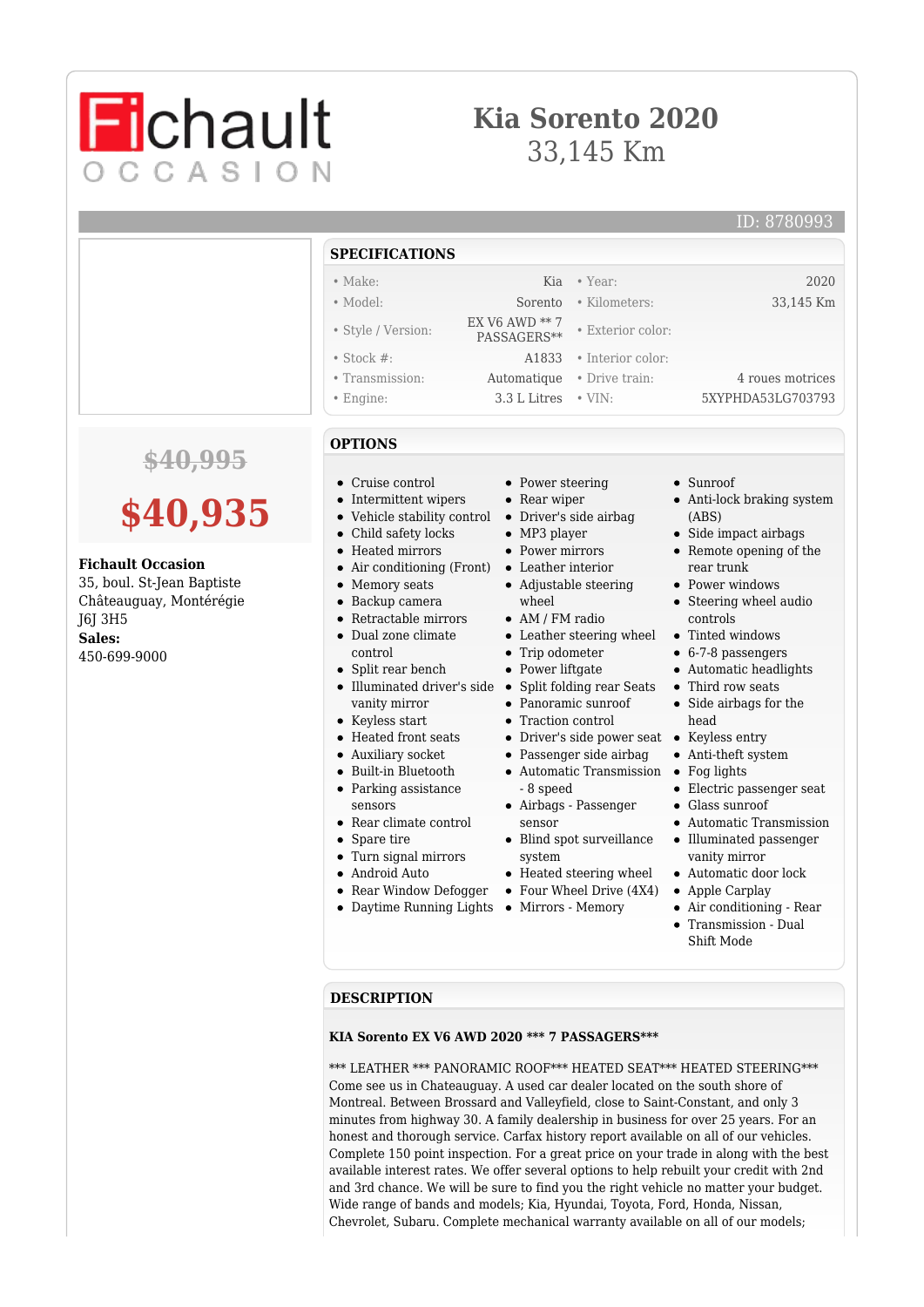## **Kia Sorento 2020** 33,145 Km

# **Fichault** OCCASION

**SPECIFICATIONS**

#### ID: 8780993

|                                                                                                                                              |                                                                                                                                                                                                                                                                                                                                                                                                                                                 | JI LUII IUATIUNJ                                                                                                                                                                                                        |                                                                                                                                                                                                                       |                                                                                                                                                                                                                                                                                                                                                                                                                               |  |
|----------------------------------------------------------------------------------------------------------------------------------------------|-------------------------------------------------------------------------------------------------------------------------------------------------------------------------------------------------------------------------------------------------------------------------------------------------------------------------------------------------------------------------------------------------------------------------------------------------|-------------------------------------------------------------------------------------------------------------------------------------------------------------------------------------------------------------------------|-----------------------------------------------------------------------------------------------------------------------------------------------------------------------------------------------------------------------|-------------------------------------------------------------------------------------------------------------------------------------------------------------------------------------------------------------------------------------------------------------------------------------------------------------------------------------------------------------------------------------------------------------------------------|--|
|                                                                                                                                              | $\bullet$ Make:                                                                                                                                                                                                                                                                                                                                                                                                                                 | Kia                                                                                                                                                                                                                     | • Year:                                                                                                                                                                                                               | 2020                                                                                                                                                                                                                                                                                                                                                                                                                          |  |
|                                                                                                                                              | • Model:                                                                                                                                                                                                                                                                                                                                                                                                                                        | Sorento                                                                                                                                                                                                                 | · Kilometers:                                                                                                                                                                                                         | 33,145 Km                                                                                                                                                                                                                                                                                                                                                                                                                     |  |
|                                                                                                                                              | • Style / Version:                                                                                                                                                                                                                                                                                                                                                                                                                              | EX V6 AWD ** 7<br>PASSAGERS**                                                                                                                                                                                           | • Exterior color:                                                                                                                                                                                                     |                                                                                                                                                                                                                                                                                                                                                                                                                               |  |
|                                                                                                                                              | $\bullet$ Stock #:                                                                                                                                                                                                                                                                                                                                                                                                                              | A1833                                                                                                                                                                                                                   | • Interior color:                                                                                                                                                                                                     |                                                                                                                                                                                                                                                                                                                                                                                                                               |  |
|                                                                                                                                              | • Transmission:                                                                                                                                                                                                                                                                                                                                                                                                                                 | Automatique                                                                                                                                                                                                             | • Drive train:                                                                                                                                                                                                        | 4 roues motrices                                                                                                                                                                                                                                                                                                                                                                                                              |  |
|                                                                                                                                              | $\bullet$ Engine:                                                                                                                                                                                                                                                                                                                                                                                                                               | 3.3 L Litres                                                                                                                                                                                                            | $\cdot$ VIN:                                                                                                                                                                                                          | 5XYPHDA53LG703793                                                                                                                                                                                                                                                                                                                                                                                                             |  |
|                                                                                                                                              | <b>OPTIONS</b>                                                                                                                                                                                                                                                                                                                                                                                                                                  |                                                                                                                                                                                                                         |                                                                                                                                                                                                                       |                                                                                                                                                                                                                                                                                                                                                                                                                               |  |
| $$40,995$ \$40,935<br><b>Fichault Occasion</b><br>35, boul. St-Jean Baptiste<br>Châteauguay, Montérégie<br>J6J 3H5<br>Sales:<br>450-699-9000 | • Cruise control<br>• Intermittent wipers<br>• Vehicle stability control<br>• Child safety locks<br>• Heated mirrors<br>• Air conditioning (Front)<br>Memory seats<br>٠<br>Backup camera<br>٠<br>• Retractable mirrors<br>• Dual zone climate<br>control<br>• Split rear bench<br>• Illuminated driver's side<br>vanity mirror<br>• Keyless start<br>• Heated front seats<br>• Auxiliary socket<br>• Built-in Bluetooth<br>• Parking assistance | • Power steering<br>$\bullet$ Rear wiper<br>$\bullet$ MP3 player<br>• Power mirrors<br>• Leather interior<br>wheel<br>$\bullet$ AM / FM radio<br>• Trip odometer<br>• Power liftgate<br>• Traction control<br>- 8 speed | • Driver's side airbag<br>• Adjustable steering<br>• Leather steering wheel<br>• Split folding rear Seats<br>• Panoramic sunroof<br>• Driver's side power seat<br>• Passenger side airbag<br>• Automatic Transmission | $\bullet$ Sunroof<br>• Anti-lock braking system<br>(ABS)<br>$\bullet$ Side impact airbags<br>• Remote opening of the<br>rear trunk<br>• Power windows<br>• Steering wheel audio<br>controls<br>• Tinted windows<br>$\bullet$ 6-7-8 passengers<br>• Automatic headlights<br>• Third row seats<br>• Side airbags for the<br>head<br>• Keyless entry<br>• Anti-theft system<br>$\bullet$ Fog lights<br>• Electric passenger seat |  |
|                                                                                                                                              | sensors<br>• Rear climate control<br>Spare tire<br>٠<br>• Turn signal mirrors<br>Android Auto<br>• Rear Window Defogger                                                                                                                                                                                                                                                                                                                         | sensor<br>system                                                                                                                                                                                                        | • Airbags - Passenger<br>• Blind spot surveillance<br>• Heated steering wheel<br>• Four Wheel Drive (4X4)                                                                                                             | $\bullet$ Glass sunroof<br>• Automatic Transmission<br>• Illuminated passenger<br>vanity mirror<br>• Automatic door lock<br>• Apple Carplay                                                                                                                                                                                                                                                                                   |  |

- 
- Four Wheel Drive (4X4)
- Daytime Running Lights Mirrors Memory
- Air conditioning Rear
- Transmission Dual Shift Mode

### **DESCRIPTION**

#### **KIA Sorento EX V6 AWD 2020 \*\*\* 7 PASSAGERS\*\*\***

\*\*\* LEATHER \*\*\* PANORAMIC ROOF\*\*\* HEATED SEAT\*\*\* HEATED STEERING\*\*\* Come see us in Chateauguay. A used car dealer located on the south shore of Montreal. Between Brossard and Valleyfield, close to Saint-Constant, and only 3 minutes from highway 30. A family dealership in business for over 25 years. For an honest and thorough service. Carfax history report available on all of our vehicles. Complete 150 point inspection. For a great price on your trade in along with the best available interest rates. We offer several options to help rebuilt your credit with 2nd and 3rd chance. We will be sure to find you the right vehicle no matter your budget. Wide range of bands and models; Kia, Hyundai, Toyota, Ford, Honda, Nissan, Chevrolet, Subaru. Complete mechanical warranty available on all of our models;